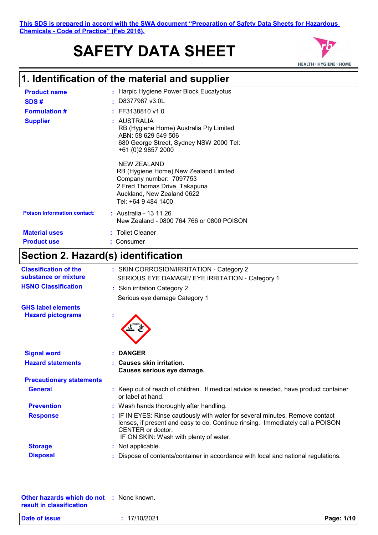#### **This SDS is prepared in accord with the SWA document "Preparation of Safety Data Sheets for Hazardous Chemicals - Code of Practice" (Feb 2016).**

# **SAFETY DATA SHEET**



## **1. Identification of the material and supplier**

| <b>Product name</b>                | : Harpic Hygiene Power Block Eucalyptus                                                                                                                               |
|------------------------------------|-----------------------------------------------------------------------------------------------------------------------------------------------------------------------|
| SDS#                               | $\cdot$ D8377987 v3.0L                                                                                                                                                |
| <b>Formulation #</b>               | $:$ FF3138810 v1.0                                                                                                                                                    |
| <b>Supplier</b>                    | : AUSTRALIA<br>RB (Hygiene Home) Australia Pty Limited<br>ABN: 58 629 549 506<br>680 George Street, Sydney NSW 2000 Tel:<br>+61 (0)2 9857 2000                        |
|                                    | NEW ZEALAND<br>RB (Hygiene Home) New Zealand Limited<br>Company number: 7097753<br>2 Fred Thomas Drive, Takapuna<br>Auckland, New Zealand 0622<br>Tel: +64 9 484 1400 |
| <b>Poison Information contact:</b> | : Australia - 13 11 26<br>New Zealand - 0800 764 766 or 0800 POISON                                                                                                   |
| <b>Material uses</b>               | : Toilet Cleaner                                                                                                                                                      |
| <b>Product use</b>                 | : Consumer                                                                                                                                                            |

## **Section 2. Hazard(s) identification**

| <b>Classification of the</b><br>substance or mixture | : SKIN CORROSION/IRRITATION - Category 2                                                                                                                                                                                       |
|------------------------------------------------------|--------------------------------------------------------------------------------------------------------------------------------------------------------------------------------------------------------------------------------|
|                                                      | SERIOUS EYE DAMAGE/ EYE IRRITATION - Category 1                                                                                                                                                                                |
| <b>HSNO Classification</b>                           | : Skin irritation Category 2                                                                                                                                                                                                   |
|                                                      | Serious eye damage Category 1                                                                                                                                                                                                  |
| <b>GHS label elements</b>                            |                                                                                                                                                                                                                                |
| <b>Hazard pictograms</b>                             |                                                                                                                                                                                                                                |
| <b>Signal word</b>                                   | <b>DANGER</b>                                                                                                                                                                                                                  |
| <b>Hazard statements</b>                             | : Causes skin irritation.<br>Causes serious eye damage.                                                                                                                                                                        |
| <b>Precautionary statements</b>                      |                                                                                                                                                                                                                                |
| <b>General</b>                                       | : Keep out of reach of children. If medical advice is needed, have product container<br>or label at hand.                                                                                                                      |
| <b>Prevention</b>                                    | : Wash hands thoroughly after handling.                                                                                                                                                                                        |
| <b>Response</b>                                      | : IF IN EYES: Rinse cautiously with water for several minutes. Remove contact<br>lenses, if present and easy to do. Continue rinsing. Immediately call a POISON<br>CENTER or doctor.<br>IF ON SKIN: Wash with plenty of water. |
| <b>Storage</b>                                       | : Not applicable.                                                                                                                                                                                                              |
| <b>Disposal</b>                                      | Dispose of contents/container in accordance with local and national regulations.                                                                                                                                               |

| <b>Other hazards which do not : None known.</b> |  |
|-------------------------------------------------|--|
| result in classification                        |  |

| Date of issue | 17/10/2021 | Page: 1/10 |
|---------------|------------|------------|
|---------------|------------|------------|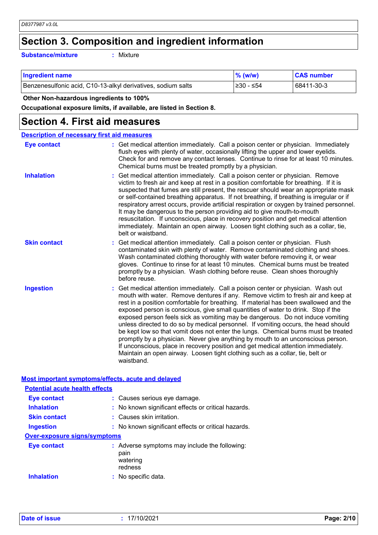## **Section 3. Composition and ingredient information**

**Substance/mixture :**

: Mixture

| <b>Ingredient name</b>                                       | $%$ (w/w)  | <b>CAS number</b> |
|--------------------------------------------------------------|------------|-------------------|
| Benzenesulfonic acid, C10-13-alkyl derivatives, sodium salts | ⊩≥30 - ≤54 | 68411-30-3        |

#### **Other Non-hazardous ingredients to 100%**

**Occupational exposure limits, if available, are listed in Section 8.**

### **Section 4. First aid measures**

| <b>Description of necessary first aid measures</b> |                                                                                                                                                                                                                                                                                                                                                                                                                                                                                                                                                                                                                                                                                                                                                                                                                                                                                      |  |  |
|----------------------------------------------------|--------------------------------------------------------------------------------------------------------------------------------------------------------------------------------------------------------------------------------------------------------------------------------------------------------------------------------------------------------------------------------------------------------------------------------------------------------------------------------------------------------------------------------------------------------------------------------------------------------------------------------------------------------------------------------------------------------------------------------------------------------------------------------------------------------------------------------------------------------------------------------------|--|--|
| <b>Eye contact</b>                                 | : Get medical attention immediately. Call a poison center or physician. Immediately<br>flush eyes with plenty of water, occasionally lifting the upper and lower eyelids.<br>Check for and remove any contact lenses. Continue to rinse for at least 10 minutes.<br>Chemical burns must be treated promptly by a physician.                                                                                                                                                                                                                                                                                                                                                                                                                                                                                                                                                          |  |  |
| <b>Inhalation</b>                                  | Get medical attention immediately. Call a poison center or physician. Remove<br>victim to fresh air and keep at rest in a position comfortable for breathing. If it is<br>suspected that fumes are still present, the rescuer should wear an appropriate mask<br>or self-contained breathing apparatus. If not breathing, if breathing is irregular or if<br>respiratory arrest occurs, provide artificial respiration or oxygen by trained personnel.<br>It may be dangerous to the person providing aid to give mouth-to-mouth<br>resuscitation. If unconscious, place in recovery position and get medical attention<br>immediately. Maintain an open airway. Loosen tight clothing such as a collar, tie,<br>belt or waistband.                                                                                                                                                  |  |  |
| <b>Skin contact</b>                                | Get medical attention immediately. Call a poison center or physician. Flush<br>contaminated skin with plenty of water. Remove contaminated clothing and shoes.<br>Wash contaminated clothing thoroughly with water before removing it, or wear<br>gloves. Continue to rinse for at least 10 minutes. Chemical burns must be treated<br>promptly by a physician. Wash clothing before reuse. Clean shoes thoroughly<br>before reuse.                                                                                                                                                                                                                                                                                                                                                                                                                                                  |  |  |
| <b>Ingestion</b>                                   | Get medical attention immediately. Call a poison center or physician. Wash out<br>mouth with water. Remove dentures if any. Remove victim to fresh air and keep at<br>rest in a position comfortable for breathing. If material has been swallowed and the<br>exposed person is conscious, give small quantities of water to drink. Stop if the<br>exposed person feels sick as vomiting may be dangerous. Do not induce vomiting<br>unless directed to do so by medical personnel. If vomiting occurs, the head should<br>be kept low so that vomit does not enter the lungs. Chemical burns must be treated<br>promptly by a physician. Never give anything by mouth to an unconscious person.<br>If unconscious, place in recovery position and get medical attention immediately.<br>Maintain an open airway. Loosen tight clothing such as a collar, tie, belt or<br>waistband. |  |  |

#### **Most important symptoms/effects, acute and delayed**

| <b>Potential acute health effects</b> |  |                                                                              |  |  |
|---------------------------------------|--|------------------------------------------------------------------------------|--|--|
| Eye contact                           |  | : Causes serious eye damage.                                                 |  |  |
| <b>Inhalation</b>                     |  | : No known significant effects or critical hazards.                          |  |  |
| <b>Skin contact</b>                   |  | : Causes skin irritation.                                                    |  |  |
| <b>Ingestion</b>                      |  | : No known significant effects or critical hazards.                          |  |  |
| <b>Over-exposure signs/symptoms</b>   |  |                                                                              |  |  |
| Eye contact                           |  | : Adverse symptoms may include the following:<br>pain<br>watering<br>redness |  |  |
| <b>Inhalation</b>                     |  | : No specific data.                                                          |  |  |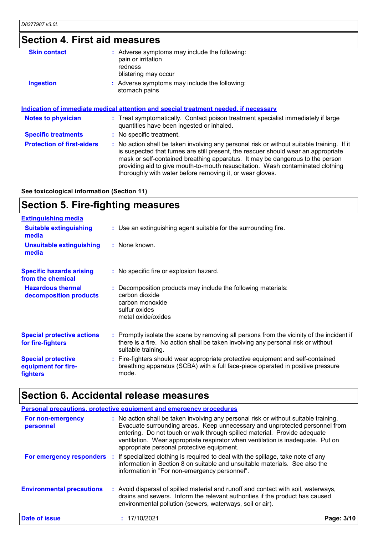## **Section 4. First aid measures**

| <b>Skin contact</b>               | : Adverse symptoms may include the following:<br>pain or irritation<br>redness<br>blistering may occur                                                                                                                                                                                                                                                                                                          |
|-----------------------------------|-----------------------------------------------------------------------------------------------------------------------------------------------------------------------------------------------------------------------------------------------------------------------------------------------------------------------------------------------------------------------------------------------------------------|
| <b>Ingestion</b>                  | : Adverse symptoms may include the following:<br>stomach pains                                                                                                                                                                                                                                                                                                                                                  |
|                                   | Indication of immediate medical attention and special treatment needed, if necessary                                                                                                                                                                                                                                                                                                                            |
| <b>Notes to physician</b>         | : Treat symptomatically. Contact poison treatment specialist immediately if large<br>quantities have been ingested or inhaled.                                                                                                                                                                                                                                                                                  |
| <b>Specific treatments</b>        | : No specific treatment.                                                                                                                                                                                                                                                                                                                                                                                        |
| <b>Protection of first-aiders</b> | : No action shall be taken involving any personal risk or without suitable training. If it<br>is suspected that fumes are still present, the rescuer should wear an appropriate<br>mask or self-contained breathing apparatus. It may be dangerous to the person<br>providing aid to give mouth-to-mouth resuscitation. Wash contaminated clothing<br>thoroughly with water before removing it, or wear gloves. |
|                                   |                                                                                                                                                                                                                                                                                                                                                                                                                 |

**See toxicological information (Section 11)**

## **Section 5. Fire-fighting measures**

| <b>Extinguishing media</b>                                   |                                                                                                                                                                                                     |
|--------------------------------------------------------------|-----------------------------------------------------------------------------------------------------------------------------------------------------------------------------------------------------|
| <b>Suitable extinguishing</b><br>media                       | : Use an extinguishing agent suitable for the surrounding fire.                                                                                                                                     |
| <b>Unsuitable extinguishing</b><br>media                     | : None known.                                                                                                                                                                                       |
| <b>Specific hazards arising</b><br>from the chemical         | : No specific fire or explosion hazard.                                                                                                                                                             |
| <b>Hazardous thermal</b><br>decomposition products           | : Decomposition products may include the following materials:<br>carbon dioxide<br>carbon monoxide<br>sulfur oxides<br>metal oxide/oxides                                                           |
| <b>Special protective actions</b><br>for fire-fighters       | : Promptly isolate the scene by removing all persons from the vicinity of the incident if<br>there is a fire. No action shall be taken involving any personal risk or without<br>suitable training. |
| <b>Special protective</b><br>equipment for fire-<br>fighters | : Fire-fighters should wear appropriate protective equipment and self-contained<br>breathing apparatus (SCBA) with a full face-piece operated in positive pressure<br>mode.                         |

## **Section 6. Accidental release measures**

|                                  | Personal precautions, protective equipment and emergency procedures                                                                                                                                                                                                                                                                                                               |            |
|----------------------------------|-----------------------------------------------------------------------------------------------------------------------------------------------------------------------------------------------------------------------------------------------------------------------------------------------------------------------------------------------------------------------------------|------------|
| For non-emergency<br>personnel   | : No action shall be taken involving any personal risk or without suitable training.<br>Evacuate surrounding areas. Keep unnecessary and unprotected personnel from<br>entering. Do not touch or walk through spilled material. Provide adequate<br>ventilation. Wear appropriate respirator when ventilation is inadequate. Put on<br>appropriate personal protective equipment. |            |
| For emergency responders         | : If specialized clothing is required to deal with the spillage, take note of any<br>information in Section 8 on suitable and unsuitable materials. See also the<br>information in "For non-emergency personnel".                                                                                                                                                                 |            |
| <b>Environmental precautions</b> | : Avoid dispersal of spilled material and runoff and contact with soil, waterways,<br>drains and sewers. Inform the relevant authorities if the product has caused<br>environmental pollution (sewers, waterways, soil or air).                                                                                                                                                   |            |
| Date of issue                    | 17/10/2021                                                                                                                                                                                                                                                                                                                                                                        | Page: 3/10 |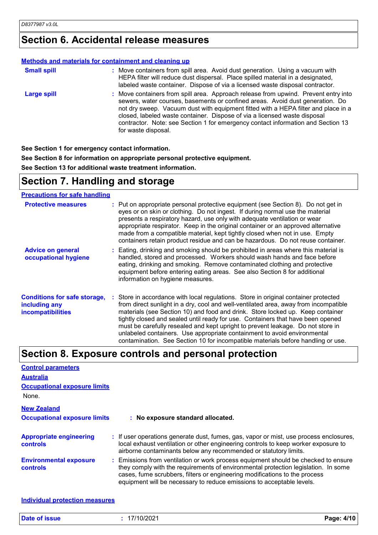### **Section 6. Accidental release measures**

#### **Methods and materials for containment and cleaning up**

| <b>Small spill</b> | : Move containers from spill area. Avoid dust generation. Using a vacuum with<br>HEPA filter will reduce dust dispersal. Place spilled material in a designated,<br>labeled waste container. Dispose of via a licensed waste disposal contractor.                                                                                                                                                                                                  |
|--------------------|----------------------------------------------------------------------------------------------------------------------------------------------------------------------------------------------------------------------------------------------------------------------------------------------------------------------------------------------------------------------------------------------------------------------------------------------------|
| <b>Large spill</b> | : Move containers from spill area. Approach release from upwind. Prevent entry into<br>sewers, water courses, basements or confined areas. Avoid dust generation. Do<br>not dry sweep. Vacuum dust with equipment fitted with a HEPA filter and place in a<br>closed, labeled waste container. Dispose of via a licensed waste disposal<br>contractor. Note: see Section 1 for emergency contact information and Section 13<br>for waste disposal. |

**See Section 1 for emergency contact information.**

**See Section 8 for information on appropriate personal protective equipment. See Section 13 for additional waste treatment information.**

### **Section 7. Handling and storage**

#### **Precautions for safe handling**

| <b>Protective measures</b>                                                       | : Put on appropriate personal protective equipment (see Section 8). Do not get in<br>eyes or on skin or clothing. Do not ingest. If during normal use the material<br>presents a respiratory hazard, use only with adequate ventilation or wear<br>appropriate respirator. Keep in the original container or an approved alternative<br>made from a compatible material, kept tightly closed when not in use. Empty<br>containers retain product residue and can be hazardous. Do not reuse container.                                                                                              |
|----------------------------------------------------------------------------------|-----------------------------------------------------------------------------------------------------------------------------------------------------------------------------------------------------------------------------------------------------------------------------------------------------------------------------------------------------------------------------------------------------------------------------------------------------------------------------------------------------------------------------------------------------------------------------------------------------|
| <b>Advice on general</b><br>occupational hygiene                                 | : Eating, drinking and smoking should be prohibited in areas where this material is<br>handled, stored and processed. Workers should wash hands and face before<br>eating, drinking and smoking. Remove contaminated clothing and protective<br>equipment before entering eating areas. See also Section 8 for additional<br>information on hygiene measures.                                                                                                                                                                                                                                       |
| <b>Conditions for safe storage,</b><br>including any<br><b>incompatibilities</b> | : Store in accordance with local regulations. Store in original container protected<br>from direct sunlight in a dry, cool and well-ventilated area, away from incompatible<br>materials (see Section 10) and food and drink. Store locked up. Keep container<br>tightly closed and sealed until ready for use. Containers that have been opened<br>must be carefully resealed and kept upright to prevent leakage. Do not store in<br>unlabeled containers. Use appropriate containment to avoid environmental<br>contamination. See Section 10 for incompatible materials before handling or use. |

### **Section 8. Exposure controls and personal protection**

| <b>Control parameters</b>                                                          |                                                                                                                                                                                                                                                                                                                                        |
|------------------------------------------------------------------------------------|----------------------------------------------------------------------------------------------------------------------------------------------------------------------------------------------------------------------------------------------------------------------------------------------------------------------------------------|
| <b>Australia</b>                                                                   |                                                                                                                                                                                                                                                                                                                                        |
| <b>Occupational exposure limits</b>                                                |                                                                                                                                                                                                                                                                                                                                        |
| None.                                                                              |                                                                                                                                                                                                                                                                                                                                        |
| <b>New Zealand</b>                                                                 |                                                                                                                                                                                                                                                                                                                                        |
| <b>Occupational exposure limits</b>                                                | : No exposure standard allocated.                                                                                                                                                                                                                                                                                                      |
| <b>Appropriate engineering</b><br><b>controls</b><br><b>Environmental exposure</b> | : If user operations generate dust, fumes, gas, vapor or mist, use process enclosures,<br>local exhaust ventilation or other engineering controls to keep worker exposure to<br>airborne contaminants below any recommended or statutory limits.<br>: Emissions from ventilation or work process equipment should be checked to ensure |
| controls                                                                           | they comply with the requirements of environmental protection legislation. In some<br>cases, fume scrubbers, filters or engineering modifications to the process<br>equipment will be necessary to reduce emissions to acceptable levels.                                                                                              |

**Individual protection measures**

| <b>Date of issue</b><br>7/10/2021 | Page: 4/10 |
|-----------------------------------|------------|
|-----------------------------------|------------|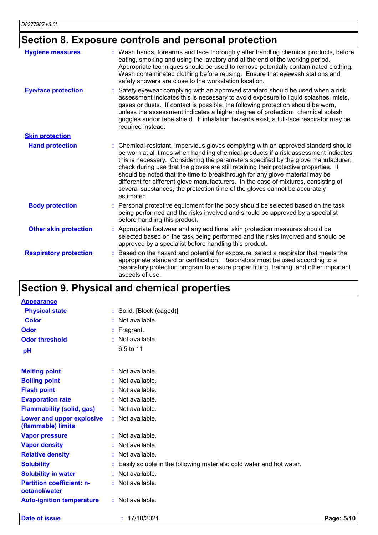## **Section 8. Exposure controls and personal protection**

| <b>Hygiene measures</b>       | Wash hands, forearms and face thoroughly after handling chemical products, before<br>eating, smoking and using the lavatory and at the end of the working period.<br>Appropriate techniques should be used to remove potentially contaminated clothing.<br>Wash contaminated clothing before reusing. Ensure that eyewash stations and<br>safety showers are close to the workstation location.                                                                                                                                                                                                                         |
|-------------------------------|-------------------------------------------------------------------------------------------------------------------------------------------------------------------------------------------------------------------------------------------------------------------------------------------------------------------------------------------------------------------------------------------------------------------------------------------------------------------------------------------------------------------------------------------------------------------------------------------------------------------------|
| <b>Eye/face protection</b>    | Safety eyewear complying with an approved standard should be used when a risk<br>assessment indicates this is necessary to avoid exposure to liquid splashes, mists,<br>gases or dusts. If contact is possible, the following protection should be worn,<br>unless the assessment indicates a higher degree of protection: chemical splash<br>goggles and/or face shield. If inhalation hazards exist, a full-face respirator may be<br>required instead.                                                                                                                                                               |
| <b>Skin protection</b>        |                                                                                                                                                                                                                                                                                                                                                                                                                                                                                                                                                                                                                         |
| <b>Hand protection</b>        | Chemical-resistant, impervious gloves complying with an approved standard should<br>be worn at all times when handling chemical products if a risk assessment indicates<br>this is necessary. Considering the parameters specified by the glove manufacturer,<br>check during use that the gloves are still retaining their protective properties. It<br>should be noted that the time to breakthrough for any glove material may be<br>different for different glove manufacturers. In the case of mixtures, consisting of<br>several substances, the protection time of the gloves cannot be accurately<br>estimated. |
| <b>Body protection</b>        | Personal protective equipment for the body should be selected based on the task<br>being performed and the risks involved and should be approved by a specialist<br>before handling this product.                                                                                                                                                                                                                                                                                                                                                                                                                       |
| <b>Other skin protection</b>  | Appropriate footwear and any additional skin protection measures should be<br>selected based on the task being performed and the risks involved and should be<br>approved by a specialist before handling this product.                                                                                                                                                                                                                                                                                                                                                                                                 |
| <b>Respiratory protection</b> | Based on the hazard and potential for exposure, select a respirator that meets the<br>appropriate standard or certification. Respirators must be used according to a<br>respiratory protection program to ensure proper fitting, training, and other important<br>aspects of use.                                                                                                                                                                                                                                                                                                                                       |

## **Section 9. Physical and chemical properties**

| <b>Appearance</b>                                 |           |                                                                      |
|---------------------------------------------------|-----------|----------------------------------------------------------------------|
| <b>Physical state</b>                             |           | : Solid. [Block (caged)]                                             |
| <b>Color</b>                                      | ÷.        | Not available.                                                       |
| Odor                                              | ÷         | Fragrant.                                                            |
| <b>Odor threshold</b>                             | $\bullet$ | Not available.                                                       |
| pH                                                |           | 6.5 to 11                                                            |
| <b>Melting point</b>                              |           | $:$ Not available.                                                   |
| <b>Boiling point</b>                              | ÷.        | Not available.                                                       |
| <b>Flash point</b>                                | ÷.        | Not available.                                                       |
| <b>Evaporation rate</b>                           | ÷         | Not available.                                                       |
| <b>Flammability (solid, gas)</b>                  |           | : Not available.                                                     |
| Lower and upper explosive<br>(flammable) limits   |           | : Not available.                                                     |
| <b>Vapor pressure</b>                             |           | : Not available.                                                     |
| <b>Vapor density</b>                              |           | Not available.                                                       |
| <b>Relative density</b>                           | ÷.        | Not available.                                                       |
| <b>Solubility</b>                                 |           | Easily soluble in the following materials: cold water and hot water. |
| <b>Solubility in water</b>                        | ÷.        | Not available.                                                       |
| <b>Partition coefficient: n-</b><br>octanol/water |           | : Not available.                                                     |
| <b>Auto-ignition temperature</b>                  |           | : Not available.                                                     |

**Date of issue :** 17/10/2021 **Page: 5/10**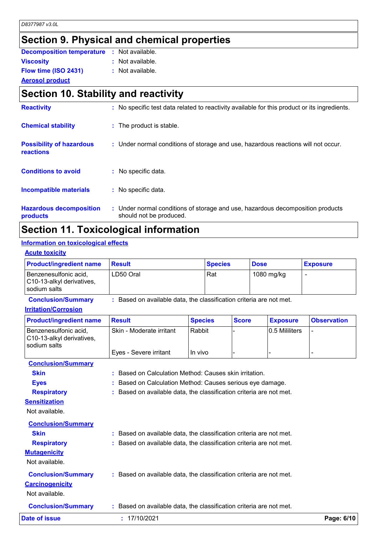## **Section 9. Physical and chemical properties**

| <b>Decomposition temperature : Not available.</b> |                  |
|---------------------------------------------------|------------------|
| <b>Viscosity</b>                                  | : Not available. |
| Flow time (ISO 2431)                              | : Not available. |
| <b>Aerosol product</b>                            |                  |

## **Section 10. Stability and reactivity**

| <b>Reactivity</b>                            | : No specific test data related to reactivity available for this product or its ingredients.              |
|----------------------------------------------|-----------------------------------------------------------------------------------------------------------|
| <b>Chemical stability</b>                    | : The product is stable.                                                                                  |
| <b>Possibility of hazardous</b><br>reactions | : Under normal conditions of storage and use, hazardous reactions will not occur.                         |
| <b>Conditions to avoid</b>                   | No specific data.<br>÷.                                                                                   |
| Incompatible materials                       | : No specific data.                                                                                       |
| <b>Hazardous decomposition</b><br>products   | : Under normal conditions of storage and use, hazardous decomposition products<br>should not be produced. |

## **Section 11. Toxicological information**

#### **Information on toxicological effects**

#### **Acute toxicity**

| <b>Product/ingredient name</b>                                                                                                                                                                                                     | <b>Result</b>                                                                                                                                                                                                                                                                                                                        |                | <b>Species</b> |              | <b>Dose</b>           |                 | <b>Exposure</b>    |
|------------------------------------------------------------------------------------------------------------------------------------------------------------------------------------------------------------------------------------|--------------------------------------------------------------------------------------------------------------------------------------------------------------------------------------------------------------------------------------------------------------------------------------------------------------------------------------|----------------|----------------|--------------|-----------------------|-----------------|--------------------|
| Benzenesulfonic acid,<br>C10-13-alkyl derivatives,<br>sodium salts                                                                                                                                                                 | LD50 Oral                                                                                                                                                                                                                                                                                                                            |                | Rat            |              |                       | 1080 mg/kg      | $\blacksquare$     |
| <b>Conclusion/Summary</b>                                                                                                                                                                                                          | : Based on available data, the classification criteria are not met.                                                                                                                                                                                                                                                                  |                |                |              |                       |                 |                    |
| <b>Irritation/Corrosion</b>                                                                                                                                                                                                        |                                                                                                                                                                                                                                                                                                                                      |                |                |              |                       |                 |                    |
| <b>Product/ingredient name</b>                                                                                                                                                                                                     | <b>Result</b>                                                                                                                                                                                                                                                                                                                        | <b>Species</b> |                | <b>Score</b> |                       | <b>Exposure</b> | <b>Observation</b> |
| Benzenesulfonic acid,<br>C10-13-alkyl derivatives,<br>sodium salts                                                                                                                                                                 | Rabbit<br>Skin - Moderate irritant                                                                                                                                                                                                                                                                                                   |                |                |              | <b>0.5 Mililiters</b> | $\overline{a}$  |                    |
|                                                                                                                                                                                                                                    | Eyes - Severe irritant                                                                                                                                                                                                                                                                                                               | In vivo        |                |              |                       |                 |                    |
| <b>Conclusion/Summary</b><br><b>Skin</b><br><b>Eyes</b><br><b>Respiratory</b><br><b>Sensitization</b><br>Not available.<br><b>Conclusion/Summary</b><br><b>Skin</b><br><b>Respiratory</b><br><b>Mutagenicity</b><br>Not available. | : Based on Calculation Method: Causes skin irritation.<br>Based on Calculation Method: Causes serious eye damage.<br>Based on available data, the classification criteria are not met.<br>: Based on available data, the classification criteria are not met.<br>: Based on available data, the classification criteria are not met. |                |                |              |                       |                 |                    |
| <b>Conclusion/Summary</b><br><b>Carcinogenicity</b><br>Not available.                                                                                                                                                              | : Based on available data, the classification criteria are not met.                                                                                                                                                                                                                                                                  |                |                |              |                       |                 |                    |
| <b>Conclusion/Summary</b>                                                                                                                                                                                                          | : Based on available data, the classification criteria are not met.                                                                                                                                                                                                                                                                  |                |                |              |                       |                 |                    |
| <b>Date of issue</b>                                                                                                                                                                                                               | : 17/10/2021                                                                                                                                                                                                                                                                                                                         |                |                |              |                       |                 | Page: 6/10         |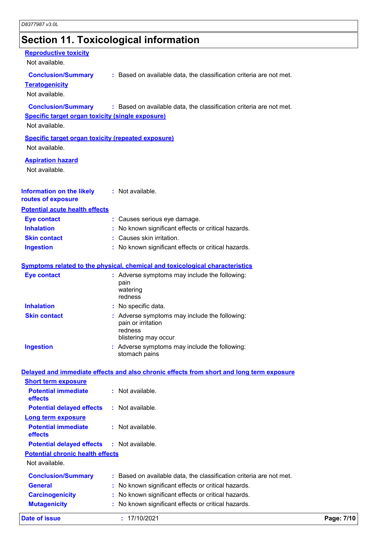### **Section 11. Toxicological information**

#### **Reproductive toxicity**

Not available.

**Conclusion/Summary :** Based on available data, the classification criteria are not met.

#### **Teratogenicity**

Not available.

**Conclusion/Summary :** Based on available data, the classification criteria are not met.

#### **Specific target organ toxicity (single exposure)**

Not available.

**Specific target organ toxicity (repeated exposure)**

Not available.

#### **Aspiration hazard**

Not available.

#### **Information on the likely routes of exposure :** Not available.

#### **Potential acute health effects**

| <b>Eve contact</b>  | : Causes serious eye damage.                        |
|---------------------|-----------------------------------------------------|
| <b>Inhalation</b>   | : No known significant effects or critical hazards. |
| <b>Skin contact</b> | : Causes skin irritation.                           |
| <b>Ingestion</b>    | : No known significant effects or critical hazards. |

#### **Symptoms related to the physical, chemical and toxicological characteristics**

| Eye contact         | : Adverse symptoms may include the following:<br>pain<br>watering<br>redness                           |  |
|---------------------|--------------------------------------------------------------------------------------------------------|--|
| <b>Inhalation</b>   | : No specific data.                                                                                    |  |
| <b>Skin contact</b> | : Adverse symptoms may include the following:<br>pain or irritation<br>redness<br>blistering may occur |  |
| <b>Ingestion</b>    | : Adverse symptoms may include the following:<br>stomach pains                                         |  |

#### **Delayed and immediate effects and also chronic effects from short and long term exposure**

| Date of issue                                     | : 17/10/2021                                                        | Page: 7/10 |
|---------------------------------------------------|---------------------------------------------------------------------|------------|
| <b>Mutagenicity</b>                               | : No known significant effects or critical hazards.                 |            |
| <b>Carcinogenicity</b>                            | : No known significant effects or critical hazards.                 |            |
| <b>General</b>                                    | : No known significant effects or critical hazards.                 |            |
| <b>Conclusion/Summary</b>                         | : Based on available data, the classification criteria are not met. |            |
| Not available.                                    |                                                                     |            |
| <b>Potential chronic health effects</b>           |                                                                     |            |
| <b>Potential delayed effects : Not available.</b> |                                                                     |            |
| <b>Potential immediate</b><br><b>effects</b>      | $:$ Not available.                                                  |            |
| <b>Long term exposure</b>                         |                                                                     |            |
| <b>Potential delayed effects</b>                  | $:$ Not available.                                                  |            |
| <b>Potential immediate</b><br><b>effects</b>      | $:$ Not available.                                                  |            |
| <b>Short term exposure</b>                        |                                                                     |            |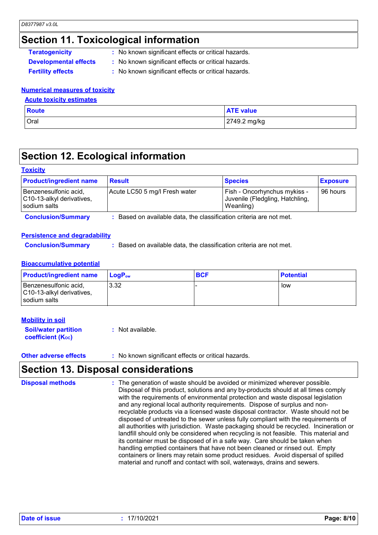### **Section 11. Toxicological information**

- **Teratogenicity** : No known significant effects or critical hazards.
- **Developmental effects :** No known significant effects or critical hazards.
	-
- 
- **Fertility effects :** No known significant effects or critical hazards.

#### **Numerical measures of toxicity**

#### **Acute toxicity estimates**

| Route | <b>ATE value</b> |
|-------|------------------|
| Oral  | 2749.2 mg/kg     |

### **Section 12. Ecological information**

#### **Toxicity**

| <b>Product/ingredient name</b>                                     | <b>Result</b>                 | <b>Species</b>                                                               | <b>Exposure</b> |
|--------------------------------------------------------------------|-------------------------------|------------------------------------------------------------------------------|-----------------|
| Benzenesulfonic acid,<br>C10-13-alkyl derivatives,<br>sodium salts | Acute LC50 5 mg/l Fresh water | Fish - Oncorhynchus mykiss -<br>Juvenile (Fledgling, Hatchling,<br>Weanling) | 96 hours        |

**Conclusion/Summary :** Based on available data, the classification criteria are not met.

#### **Persistence and degradability**

**Conclusion/Summary :** Based on available data, the classification criteria are not met.

#### **Bioaccumulative potential**

| <b>Product/ingredient name</b>                                     | <b>LogP</b> <sub>ow</sub> | <b>BCF</b> | <b>Potential</b> |
|--------------------------------------------------------------------|---------------------------|------------|------------------|
| Benzenesulfonic acid,<br>C10-13-alkyl derivatives,<br>sodium salts | 3.32                      |            | low              |

#### **Mobility in soil**

| <b>Soil/water partition</b> | : Not available. |
|-----------------------------|------------------|
| <b>coefficient (Koc)</b>    |                  |

**Other adverse effects** : No known significant effects or critical hazards.

### **Section 13. Disposal considerations**

```
The generation of waste should be avoided or minimized wherever possible.
                                   Disposal of this product, solutions and any by-products should at all times comply 
                                   with the requirements of environmental protection and waste disposal legislation 
                                   and any regional local authority requirements. Dispose of surplus and non-
                                   recyclable products via a licensed waste disposal contractor. Waste should not be 
                                   disposed of untreated to the sewer unless fully compliant with the requirements of 
                                   all authorities with jurisdiction. Waste packaging should be recycled. Incineration or 
                                  landfill should only be considered when recycling is not feasible. This material and 
                                   its container must be disposed of in a safe way. Care should be taken when 
                                   handling emptied containers that have not been cleaned or rinsed out. Empty 
                                   containers or liners may retain some product residues. Avoid dispersal of spilled 
                                   material and runoff and contact with soil, waterways, drains and sewers.
Disposal methods :
```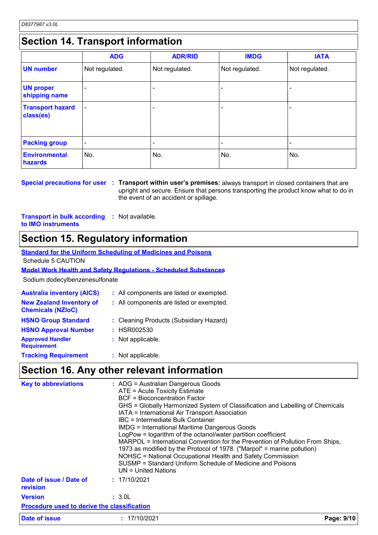## **Section 14. Transport information**

|                                      | <b>ADG</b>               | <b>ADR/RID</b> | <b>IMDG</b>    | <b>IATA</b>              |
|--------------------------------------|--------------------------|----------------|----------------|--------------------------|
| <b>UN number</b>                     | Not regulated.           | Not regulated. | Not regulated. | Not regulated.           |
| <b>UN proper</b><br>shipping name    | $\overline{\phantom{0}}$ |                |                | $\overline{\phantom{0}}$ |
| <b>Transport hazard</b><br>class(es) | $\overline{\phantom{0}}$ |                |                | $\overline{\phantom{0}}$ |
| <b>Packing group</b>                 | $\overline{\phantom{a}}$ |                |                |                          |
| <b>Environmental</b><br>hazards      | No.                      | No.            | No.            | No.                      |

**Special precautions for user Transport within user's premises:** always transport in closed containers that are **:** upright and secure. Ensure that persons transporting the product know what to do in the event of an accident or spillage.

**Transport in bulk according :** Not available. **to IMO instruments**

### **Section 15. Regulatory information**

**Standard for the Uniform Scheduling of Medicines and Poisons** Schedule 5 CAUTION

#### **Model Work Health and Safety Regulations - Scheduled Substances**

Sodium dodecylbenzenesulfonate

| <b>Australia inventory (AICS)</b>                           | : All components are listed or exempted. |
|-------------------------------------------------------------|------------------------------------------|
| <b>New Zealand Inventory of</b><br><b>Chemicals (NZIoC)</b> | : All components are listed or exempted. |
| <b>HSNO Group Standard</b>                                  | : Cleaning Products (Subsidiary Hazard)  |
| <b>HSNO Approval Number</b>                                 | : HSR002530                              |
| <b>Approved Handler</b><br><b>Requirement</b>               | : Not applicable.                        |
| <b>Tracking Requirement</b>                                 | : Not applicable.                        |

### **Section 16. Any other relevant information**

| <b>Key to abbreviations</b>                        | : ADG = Australian Dangerous Goods<br>ATE = Acute Toxicity Estimate<br><b>BCF = Bioconcentration Factor</b><br>GHS = Globally Harmonized System of Classification and Labelling of Chemicals<br>IATA = International Air Transport Association<br>IBC = Intermediate Bulk Container<br><b>IMDG = International Maritime Dangerous Goods</b><br>LogPow = logarithm of the octanol/water partition coefficient<br>MARPOL = International Convention for the Prevention of Pollution From Ships,<br>1973 as modified by the Protocol of 1978. ("Marpol" = marine pollution)<br>NOHSC = National Occupational Health and Safety Commission<br>SUSMP = Standard Uniform Schedule of Medicine and Poisons<br>UN = United Nations |            |
|----------------------------------------------------|----------------------------------------------------------------------------------------------------------------------------------------------------------------------------------------------------------------------------------------------------------------------------------------------------------------------------------------------------------------------------------------------------------------------------------------------------------------------------------------------------------------------------------------------------------------------------------------------------------------------------------------------------------------------------------------------------------------------------|------------|
| Date of issue / Date of<br>revision                | : 17/10/2021                                                                                                                                                                                                                                                                                                                                                                                                                                                                                                                                                                                                                                                                                                               |            |
| <b>Version</b>                                     | : 3.0L                                                                                                                                                                                                                                                                                                                                                                                                                                                                                                                                                                                                                                                                                                                     |            |
| <b>Procedure used to derive the classification</b> |                                                                                                                                                                                                                                                                                                                                                                                                                                                                                                                                                                                                                                                                                                                            |            |
| Date of issue                                      | : 17/10/2021                                                                                                                                                                                                                                                                                                                                                                                                                                                                                                                                                                                                                                                                                                               | Page: 9/10 |